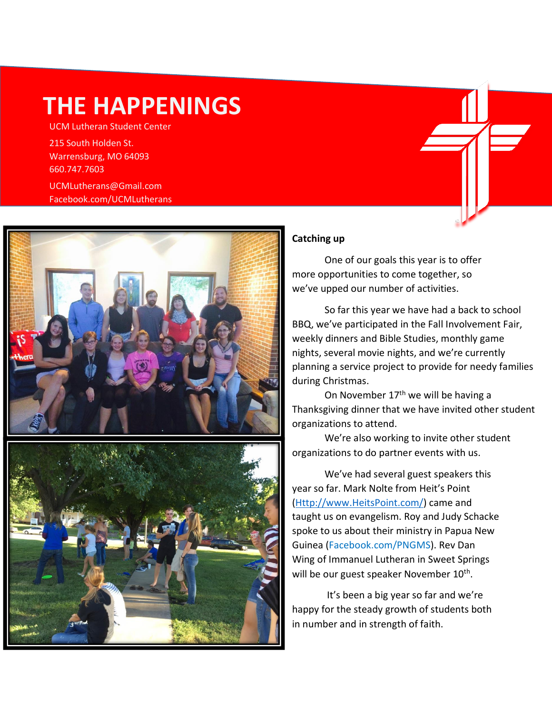# **THE HAPPENINGS**

UCM Lutheran Student Center

215 South Holden St. Warrensburg, MO 64093 660.747.7603

UCMLutherans@Gmail.com Facebook.com/UCMLutherans



## **Catching up**

One of our goals this year is to offer more opportunities to come together, so we've upped our number of activities.

So far this year we have had a back to school BBQ, we've participated in the Fall Involvement Fair, weekly dinners and Bible Studies, monthly game nights, several movie nights, and we're currently planning a service project to provide for needy families during Christmas.

On November 17<sup>th</sup> we will be having a Thanksgiving dinner that we have invited other student organizations to attend.

We're also working to invite other student organizations to do partner events with us.

We've had several guest speakers this year so far. Mark Nolte from Heit's Point [\(Http://www.HeitsPoint.com/\)](http://www.heitspoint.com/) came and taught us on evangelism. Roy and Judy Schacke spoke to us about their ministry in Papua New Guinea (Facebook.com/PNGMS). Rev Dan Wing of Immanuel Lutheran in Sweet Springs will be our guest speaker November 10<sup>th</sup>.

It's been a big year so far and we're happy for the steady growth of students both in number and in strength of faith.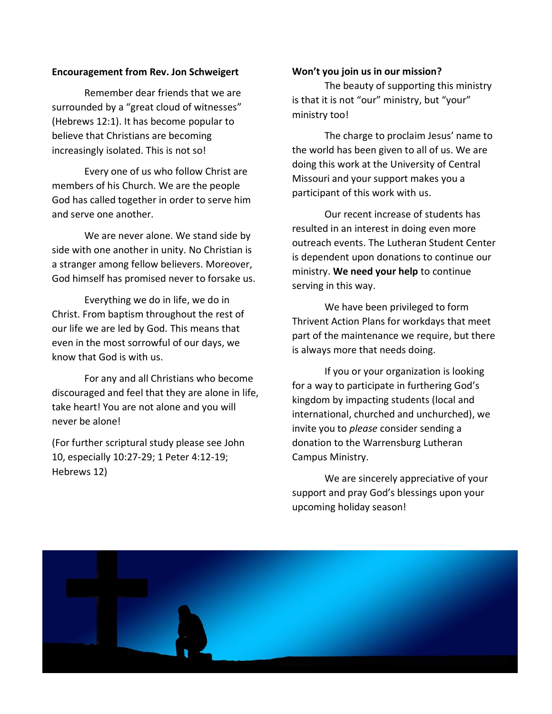### **Encouragement from Rev. Jon Schweigert**

Remember dear friends that we are surrounded by a "great cloud of witnesses" (Hebrews 12:1). It has become popular to believe that Christians are becoming increasingly isolated. This is not so!

Every one of us who follow Christ are members of his Church. We are the people God has called together in order to serve him and serve one another.

We are never alone. We stand side by side with one another in unity. No Christian is a stranger among fellow believers. Moreover, God himself has promised never to forsake us.

Everything we do in life, we do in Christ. From baptism throughout the rest of our life we are led by God. This means that even in the most sorrowful of our days, we know that God is with us.

For any and all Christians who become discouraged and feel that they are alone in life, take heart! You are not alone and you will never be alone!

(For further scriptural study please see John 10, especially 10:27-29; 1 Peter 4:12-19; Hebrews 12)

#### **Won't you join us in our mission?**

The beauty of supporting this ministry is that it is not "our" ministry, but "your" ministry too!

The charge to proclaim Jesus' name to the world has been given to all of us. We are doing this work at the University of Central Missouri and your support makes you a participant of this work with us.

Our recent increase of students has resulted in an interest in doing even more outreach events. The Lutheran Student Center is dependent upon donations to continue our ministry. **We need your help** to continue serving in this way.

We have been privileged to form Thrivent Action Plans for workdays that meet part of the maintenance we require, but there is always more that needs doing.

If you or your organization is looking for a way to participate in furthering God's kingdom by impacting students (local and international, churched and unchurched), we invite you to *please* consider sending a donation to the Warrensburg Lutheran Campus Ministry.

We are sincerely appreciative of your support and pray God's blessings upon your upcoming holiday season!